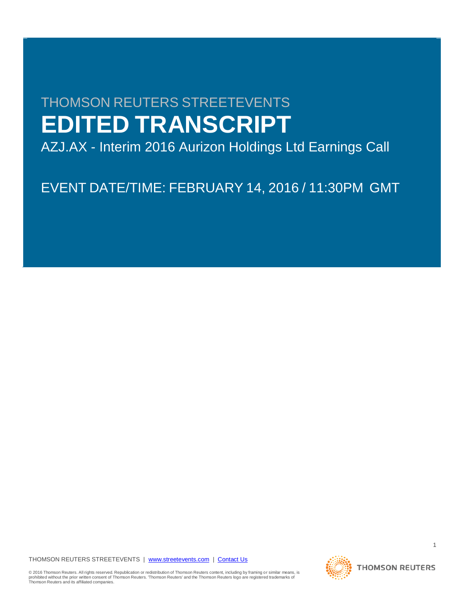# THOMSON REUTERS STREETEVENTS **EDITED TRANSCRIPT**

AZJ.AX - Interim 2016 Aurizon Holdings Ltd Earnings Call

EVENT DATE/TIME: FEBRUARY 14, 2016 / 11:30PM GMT

THOMSON REUTERS STREETEVENTS | [www.streetevents.com](http://www.streetevents.com/) | [Contact Us](http://www010.streetevents.com/contact.asp)

© 2016 Thomson Reuters. All rights reserved. Republication or redistribution of Thomson Reuters content, including by framing or similar means, is<br>prohibited without the prior written consent of Thomson Reuters. 'Thomson R



1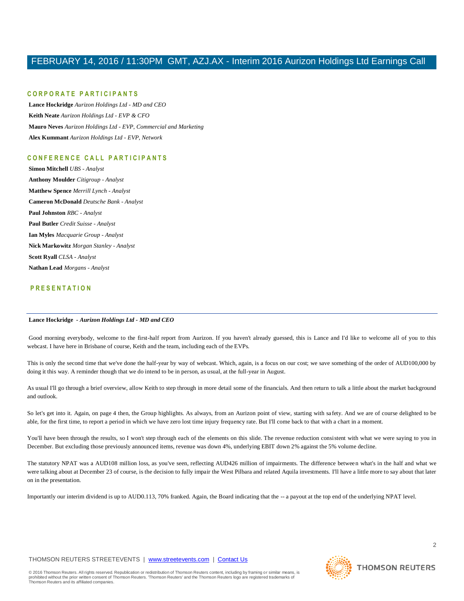#### **C O R P O R A T E P A R T I C I P A N T S**

**Lance Hockridge** *Aurizon Holdings Ltd - MD and CEO* **Keith Neate** *Aurizon Holdings Ltd - EVP & CFO* **Mauro Neves** *Aurizon Holdings Ltd - EVP, Commercial and Marketing* **Alex Kummant** *Aurizon Holdings Ltd - EVP, Network*

#### **C O N F E R E N C E C A L L P A R T I C I P A N T S**

**Simon Mitchell** *UBS - Analyst* **Anthony Moulder** *Citigroup - Analyst* **Matthew Spence** *Merrill Lynch - Analyst* **Cameron McDonald** *Deutsche Bank - Analyst* **Paul Johnston** *RBC - Analyst* **Paul Butler** *Credit Suisse - Analyst* **Ian Myles** *Macquarie Group - Analyst* **Nick Markowitz** *Morgan Stanley - Analyst* **Scott Ryall** *CLSA - Analyst* **Nathan Lead** *Morgans - Analyst*

#### **P R E S E N T A T I O N**

#### **Lance Hockridge** *- Aurizon Holdings Ltd - MD and CEO*

Good morning everybody, welcome to the first-half report from Aurizon. If you haven't already guessed, this is Lance and I'd like to welcome all of you to this webcast. I have here in Brisbane of course, Keith and the team, including each of the EVPs.

This is only the second time that we've done the half-year by way of webcast. Which, again, is a focus on our cost; we save something of the order of AUD100,000 by doing it this way. A reminder though that we do intend to be in person, as usual, at the full-year in August.

As usual I'll go through a brief overview, allow Keith to step through in more detail some of the financials. And then return to talk a little about the market background and outlook.

So let's get into it. Again, on page 4 then, the Group highlights. As always, from an Aurizon point of view, starting with sa fety. And we are of course delighted to be able, for the first time, to report a period in which we have zero lost time injury frequency rate. But I'll come back to that with a chart in a moment.

You'll have been through the results, so I won't step through each of the elements on this slide. The revenue reduction consistent with what we were saying to you in December. But excluding those previously announced items, revenue was down 4%, underlying EBIT down 2% against the 5% volume decline.

The statutory NPAT was a AUD108 million loss, as you've seen, reflecting AUD426 million of impairments. The difference between what's in the half and what we were talking about at December 23 of course, is the decision to fully impair the West Pilbara and related Aquila investments. I'll have a little more to say about that later on in the presentation.

Importantly our interim dividend is up to AUD0.113, 70% franked. Again, the Board indicating that the -- a payout at the top end of the underlying NPAT level.

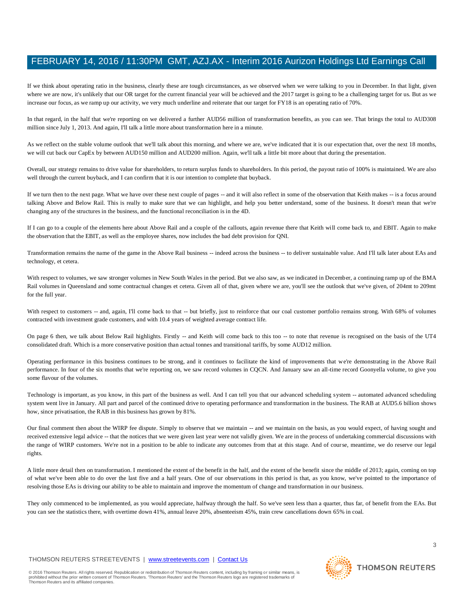If we think about operating ratio in the business, clearly these are tough circumstances, as we observed when we were talking to you in December. In that light, given where we are now, it's unlikely that our OR target for the current financial year will be achieved and the 2017 target is going to be a challenging target for us. But as we increase our focus, as we ramp up our activity, we very much underline and reiterate that our target for FY18 is an operating ratio of 70%.

In that regard, in the half that we're reporting on we delivered a further AUD56 million of transformation benefits, as you can see. That brings the total to AUD308 million since July 1, 2013. And again, I'll talk a little more about transformation here in a minute.

As we reflect on the stable volume outlook that we'll talk about this morning, and where we are, we've indicated that it is our expectation that, over the next 18 months, we will cut back our CapEx by between AUD150 million and AUD200 million. Again, we'll talk a little bit more about that during the presentation.

Overall, our strategy remains to drive value for shareholders, to return surplus funds to shareholders. In this period, the payout ratio of 100% is maintained. We are also well through the current buyback, and I can confirm that it is our intention to complete that buyback.

If we turn then to the next page. What we have over these next couple of pages -- and it will also reflect in some of the observation that Keith makes -- is a focus around talking Above and Below Rail. This is really to make sure that we can highlight, and help you better understand, some of the business. It doesn't mean that we're changing any of the structures in the business, and the functional reconciliation is in the 4D.

If I can go to a couple of the elements here about Above Rail and a couple of the callouts, again revenue there that Keith will come back to, and EBIT. Again to make the observation that the EBIT, as well as the employee shares, now includes the bad debt provision for QNI.

Transformation remains the name of the game in the Above Rail business -- indeed across the business -- to deliver sustainable value. And I'll talk later about EAs and technology, et cetera.

With respect to volumes, we saw stronger volumes in New South Wales in the period. But we also saw, as we indicated in December, a continuing ramp up of the BMA Rail volumes in Queensland and some contractual changes et cetera. Given all of that, given where we are, you'll see the outlook that we've given, of 204mt to 209mt for the full year.

With respect to customers -- and, again, I'll come back to that -- but briefly, just to reinforce that our coal customer portfolio remains strong. With 68% of volumes contracted with investment grade customers, and with 10.4 years of weighted average contract life.

On page 6 then, we talk about Below Rail highlights. Firstly -- and Keith will come back to this too -- to note that revenue is recognised on the basis of the UT4 consolidated draft. Which is a more conservative position than actual tonnes and transitional tariffs, by some AUD12 million.

Operating performance in this business continues to be strong, and it continues to facilitate the kind of improvements that we're demonstrating in the Above Rail performance. In four of the six months that we're reporting on, we saw record volumes in CQCN. And January saw an all-time record Goonyella volume, to give you some flavour of the volumes.

Technology is important, as you know, in this part of the business as well. And I can tell you that our advanced scheduling system -- automated advanced scheduling system went live in January. All part and parcel of the continued drive to operating performance and transformation in the business. The RAB at AUD5.6 billion shows how, since privatisation, the RAB in this business has grown by 81%.

Our final comment then about the WIRP fee dispute. Simply to observe that we maintain -- and we maintain on the basis, as you would expect, of having sought and received extensive legal advice -- that the notices that we were given last year were not validly given. We are in the process of undertaking commercial discussions with the range of WIRP customers. We're not in a position to be able to indicate any outcomes from that at this stage. And of course, meantime, we do reserve our legal rights

A little more detail then on transformation. I mentioned the extent of the benefit in the half, and the extent of the benefit since the middle of 2013; again, coming on top of what we've been able to do over the last five and a half years. One of our observations in this period is that, as you know, we've pointed to the importance of resolving those EAs is driving our ability to be able to maintain and improve the momentum of change and transformation in our business.

They only commenced to be implemented, as you would appreciate, halfway through the half. So we've seen less than a quarter, thus far, of benefit from the EAs. But you can see the statistics there, with overtime down 41%, annual leave 20%, absenteeism 45%, train crew cancellations down 65% in coal.

#### THOMSON REUTERS STREETEVENTS | [www.streetevents.com](http://www.streetevents.com/) | [Contact Us](http://www010.streetevents.com/contact.asp)

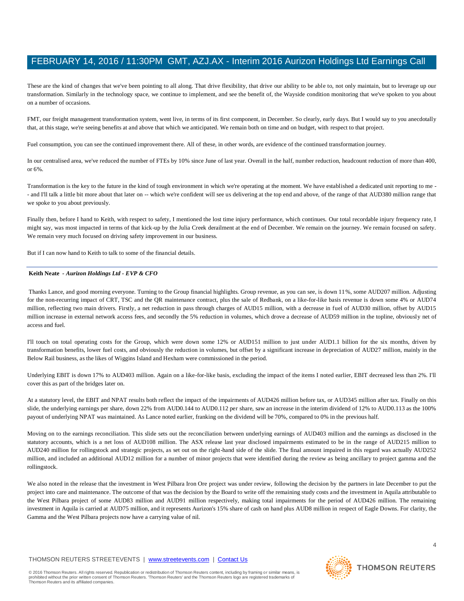These are the kind of changes that we've been pointing to all along. That drive flexibility, that drive our ability to be able to, not only maintain, but to leverage up our transformation. Similarly in the technology space, we continue to implement, and see the benefit of, the Wayside condition monitoring that we've spoken to you about on a number of occasions.

FMT, our freight management transformation system, went live, in terms of its first component, in December. So clearly, early days. But I would say to you anecdotally that, at this stage, we're seeing benefits at and above that which we anticipated. We remain both on time and on budget, with respect to that project.

Fuel consumption, you can see the continued improvement there. All of these, in other words, are evidence of the continued transformation journey.

In our centralised area, we've reduced the number of FTEs by 10% since June of last year. Overall in the half, number reduction, headcount reduction of more than 400, or 6%.

Transformation is the key to the future in the kind of tough environment in which we're operating at the moment. We have established a dedicated unit reporting to me - - and I'll talk a little bit more about that later on -- which we're confident will see us delivering at the top end and above, of the range of that AUD380 million range that we spoke to you about previously.

Finally then, before I hand to Keith, with respect to safety, I mentioned the lost time injury performance, which continues. Our total recordable injury frequency rate, I might say, was most impacted in terms of that kick-up by the Julia Creek derailment at the end of December. We remain on the journey. We remain focused on safety. We remain very much focused on driving safety improvement in our business.

But if I can now hand to Keith to talk to some of the financial details.

#### **Keith Neate** *- Aurizon Holdings Ltd - EVP & CFO*

Thanks Lance, and good morning everyone. Turning to the Group financial highlights. Group revenue, as you can see, is down 11%, some AUD207 million. Adjusting for the non-recurring impact of CRT, TSC and the QR maintenance contract, plus the sale of Redbank, on a like-for-like basis revenue is down some 4% or AUD74 million, reflecting two main drivers. Firstly, a net reduction in pass through charges of AUD15 million, with a decrease in fuel of AUD30 million, offset by AUD15 million increase in external network access fees, and secondly the 5% reduction in volumes, which drove a decrease of AUD59 million in the topline, obviously net of access and fuel.

I'll touch on total operating costs for the Group, which were down some 12% or AUD151 million to just under AUD1.1 billion for the six months, driven by transformation benefits, lower fuel costs, and obviously the reduction in volumes, but offset by a significant increase in depreciation of AUD27 million, mainly in the Below Rail business, as the likes of Wiggins Island and Hexham were commissioned in the period.

Underlying EBIT is down 17% to AUD403 million. Again on a like-for-like basis, excluding the impact of the items I noted earlier, EBIT decreased less than 2%. I'll cover this as part of the bridges later on.

At a statutory level, the EBIT and NPAT results both reflect the impact of the impairments of AUD426 million before tax, or AUD345 million after tax. Finally on this slide, the underlying earnings per share, down 22% from AUD0.144 to AUD0.112 per share, saw an increase in the interim dividend of 12% to AUD0.113 as the 100% payout of underlying NPAT was maintained. As Lance noted earlier, franking on the dividend will be 70%, compared to 0% in the previous half.

Moving on to the earnings reconciliation. This slide sets out the reconciliation between underlying earnings of AUD403 million and the earnings as disclosed in the statutory accounts, which is a net loss of AUD108 million. The ASX release last year disclosed impairments estimated to be in the range of AUD215 million to AUD240 million for rollingstock and strategic projects, as set out on the right-hand side of the slide. The final amount impaired in this regard was actually AUD252 million, and included an additional AUD12 million for a number of minor projects that were identified during the review as being ancillary to project gamma and the rollingstock.

We also noted in the release that the investment in West Pilbara Iron Ore project was under review, following the decision by the partners in late December to put the project into care and maintenance. The outcome of that was the decision by the Board to write off the remaining study costs and the investment in Aquila attributable to the West Pilbara project of some AUD83 million and AUD91 million respectively, making total impairments for the period of AUD426 million. The remaining investment in Aquila is carried at AUD75 million, and it represents Aurizon's 15% share of cash on hand plus AUD8 million in respect of Eagle Downs. For clarity, the Gamma and the West Pilbara projects now have a carrying value of nil.

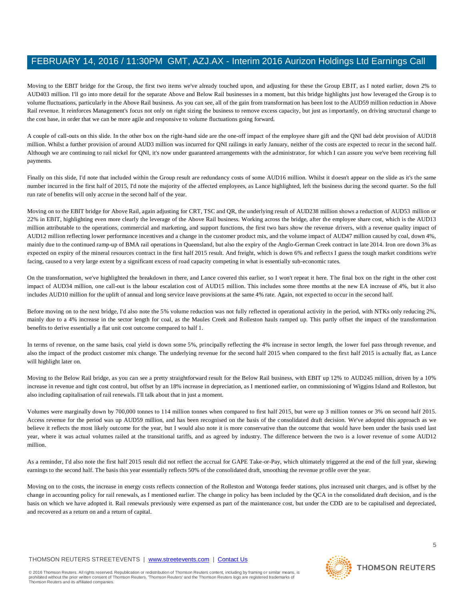Moving to the EBIT bridge for the Group, the first two items we've already touched upon, and adjusting for these the Group EBIT, as I noted earlier, down 2% to AUD403 million. I'll go into more detail for the separate Above and Below Rail businesses in a moment, but this bridge highlights just how leveraged the Group is to volume fluctuations, particularly in the Above Rail business. As you can see, all of the gain from transformation has been lost to the AUD59 million reduction in Above Rail revenue. It reinforces Management's focus not only on right sizing the business to remove excess capacity, but just as importantly, on driving structural change to the cost base, in order that we can be more agile and responsive to volume fluctuations going forward.

A couple of call-outs on this slide. In the other box on the right-hand side are the one-off impact of the employee share gift and the QNI bad debt provision of AUD18 million. Whilst a further provision of around AUD3 million was incurred for QNI railings in early January, neither of the costs are expected to recur in the second half. Although we are continuing to rail nickel for QNI, it's now under guaranteed arrangements with the administrator, for which I can assure you we've been receiving full payments.

Finally on this slide, I'd note that included within the Group result are redundancy costs of some AUD16 million. Whilst it doesn't appear on the slide as it's the same number incurred in the first half of 2015, I'd note the majority of the affected employees, as Lance highlighted, left the business during the second quarter. So the full run rate of benefits will only accrue in the second half of the year.

Moving on to the EBIT bridge for Above Rail, again adjusting for CRT, TSC and QR, the underlying result of AUD238 million shows a reduction of AUD53 million or 22% in EBIT, highlighting even more clearly the leverage of the Above Rail business. Working across the bridge, after the employee share cost, which is the AUD13 million attributable to the operations, commercial and marketing, and support functions, the first two bars show the revenue drivers, with a revenue quality impact of AUD12 million reflecting lower performance incentives and a change in the customer product mix, and the volume impact of AUD47 million caused by coal, down 4%, mainly due to the continued ramp-up of BMA rail operations in Queensland, but also the expiry of the Anglo-German Creek contract in late 2014. Iron ore down 3% as expected on expiry of the mineral resources contract in the first half 2015 result. And freight, which is down 6% and reflects I guess the tough market conditions we're facing, caused to a very large extent by a significant excess of road capacity competing in what is essentially sub-economic rates.

On the transformation, we've highlighted the breakdown in there, and Lance covered this earlier, so I won't repeat it here. The final box on the right in the other cost impact of AUD34 million, one call-out is the labour escalation cost of AUD15 million. This includes some three months at the new EA increase of 4%, but it also includes AUD10 million for the uplift of annual and long service leave provisions at the same 4% rate. Again, not expected to occur in the second half.

Before moving on to the next bridge, I'd also note the 5% volume reduction was not fully reflected in operational activity in the period, with NTKs only reducing 2%, mainly due to a 4% increase in the sector length for coal, as the Maules Creek and Rolleston hauls ramped up. This partly offset the impact of the transformation benefits to derive essentially a flat unit cost outcome compared to half 1.

In terms of revenue, on the same basis, coal yield is down some 5%, principally reflecting the 4% increase in sector length, the lower fuel pass through revenue, and also the impact of the product customer mix change. The underlying revenue for the second half 2015 when compared to the first half 2015 is actually flat, as Lance will highlight later on.

Moving to the Below Rail bridge, as you can see a pretty straightforward result for the Below Rail business, with EBIT up 12% to AUD245 million, driven by a 10% increase in revenue and tight cost control, but offset by an 18% increase in depreciation, as I mentioned earlier, on commissioning of Wiggins Island and Rolleston, but also including capitalisation of rail renewals. I'll talk about that in just a moment.

Volumes were marginally down by 700,000 tonnes to 114 million tonnes when compared to first half 2015, but were up 3 million tonnes or 3% on second half 2015. Access revenue for the period was up AUD59 million, and has been recognised on the basis of the consolidated draft decision. We've adopted this approach as we believe it reflects the most likely outcome for the year, but I would also note it is more conservative than the outcome that would have been under the basis used last year, where it was actual volumes railed at the transitional tariffs, and as agreed by industry. The difference between the two is a lower revenue of some AUD12 million.

As a reminder, I'd also note the first half 2015 result did not reflect the accrual for GAPE Take-or-Pay, which ultimately triggered at the end of the full year, skewing earnings to the second half. The basis this year essentially reflects 50% of the consolidated draft, smoothing the revenue profile over the year.

Moving on to the costs, the increase in energy costs reflects connection of the Rolleston and Wotonga feeder stations, plus increased unit charges, and is offset by the change in accounting policy for rail renewals, as I mentioned earlier. The change in policy has been included by the QCA in the consolidated draft decision, and is the basis on which we have adopted it. Rail renewals previously were expensed as part of the maintenance cost, but under the CDD are to be capitalised and depreciated, and recovered as a return on and a return of capital.

#### THOMSON REUTERS STREETEVENTS | [www.streetevents.com](http://www.streetevents.com/) | [Contact Us](http://www010.streetevents.com/contact.asp)

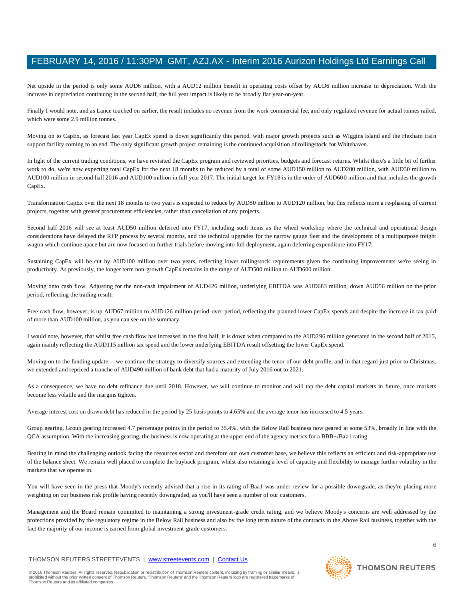Net upside in the period is only some AUD6 million, with a AUD12 million benefit in operating costs offset by AUD6 million increase in depreciation. With the increase in depreciation continuing in the second half, the full year impact is likely to be broadly flat year-on-year.

Finally I would note, and as Lance touched on earlier, the result includes no revenue from the work commercial fee, and only regulated revenue for actual tonnes railed, which were some 2.9 million tonnes.

Moving on to CapEx, as forecast last year CapEx spend is down significantly this period, with major growth projects such as Wiggins Island and the Hexham train support facility coming to an end. The only significant growth project remaining is the continued acquisition of rollingstock for Whitehaven.

In light of the current trading conditions, we have revisited the CapEx program and reviewed priorities, budgets and forecast returns. Whilst there's a little bit of further work to do, we're now expecting total CapEx for the next 18 months to be reduced by a total of some AUD150 million to AUD200 million, with AUD50 million to AUD100 million in second half 2016 and AUD100 million in full year 2017. The initial target for FY18 is in the order of AUD600 million and that includes the growth CapEx.

Transformation CapEx over the next 18 months to two years is expected to reduce by AUD50 million to AUD120 million, but this reflects more a re-phasing of current projects, together with greater procurement efficiencies, rather than cancellation of any projects.

Second half 2016 will see at least AUD50 million deferred into FY17, including such items as the wheel workshop where the technical and operational design considerations have delayed the RFP process by several months, and the technical upgrades for the narrow gauge fleet and the development of a multipurpose freight wagon which continue apace but are now focused on further trials before moving into full deployment, again deferring expenditure into FY17.

Sustaining CapEx will be cut by AUD100 million over two years, reflecting lower rollingstock requirements given the continuing improvements we're seeing in productivity. As previously, the longer term non-growth CapEx remains in the range of AUD500 million to AUD600 million.

Moving onto cash flow. Adjusting for the non-cash impairment of AUD426 million, underlying EBITDA was AUD683 million, down AUD56 million on the prior period, reflecting the trading result.

Free cash flow, however, is up AUD67 million to AUD126 million period-over-period, reflecting the planned lower CapEx spends and despite the increase in tax paid of more than AUD100 million, as you can see on the summary.

I would note, however, that whilst free cash flow has increased in the first half, it is down when compared to the AUD296 million generated in the second half of 2015, again mainly reflecting the AUD115 million tax spend and the lower underlying EBITDA result offsetting the lower CapEx spend.

Moving on to the funding update -- we continue the strategy to diversify sources and extending the tenor of our debt profile, and in that regard just prior to Christmas, we extended and repriced a tranche of AUD490 million of bank debt that had a maturity of July 2016 out to 2021.

As a consequence, we have no debt refinance due until 2018. However, we will continue to monitor and will tap the debt capital markets in future, once markets become less volatile and the margins tighten.

Average interest cost on drawn debt has reduced in the period by 25 basis points to 4.65% and the average tenor has increased to 4.5 years.

Group gearing. Group gearing increased 4.7 percentage points in the period to 35.4%, with the Below Rail business now geared at some 53%, broadly in line with the QCA assumption. With the increasing gearing, the business is now operating at the upper end of the agency metrics for a BBB+/Baa1 rating.

Bearing in mind the challenging outlook facing the resources sector and therefore our own customer base, we believe this reflects an efficient and risk-appropriate use of the balance sheet. We remain well placed to complete the buyback program, whilst also retaining a level of capacity and flexibility to manage further volatility in the markets that we operate in.

You will have seen in the press that Moody's recently advised that a rise in its rating of Baa1 was under review for a possible downgrade, as they're placing more weighting on our business risk profile having recently downgraded, as you'll have seen a number of our customers.

Management and the Board remain committed to maintaining a strong investment-grade credit rating, and we believe Moody's concerns are well addressed by the protections provided by the regulatory regime in the Below Rail business and also by the long term nature of the contracts in the Above Rail business, together with the fact the majority of our income is earned from global investment-grade customers.

#### THOMSON REUTERS STREETEVENTS | [www.streetevents.com](http://www.streetevents.com/) | [Contact Us](http://www010.streetevents.com/contact.asp)

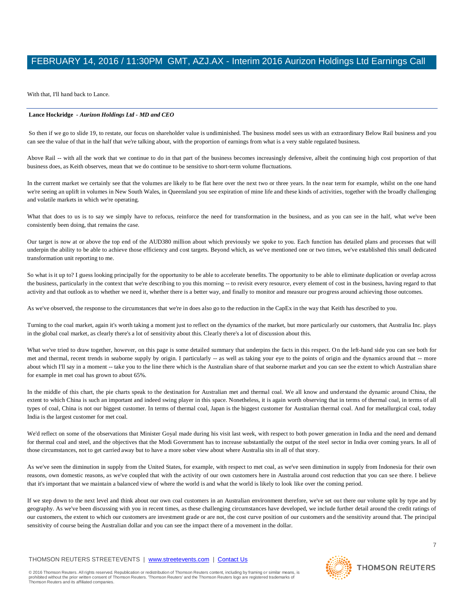With that, I'll hand back to Lance.

#### **Lance Hockridge** *- Aurizon Holdings Ltd - MD and CEO*

So then if we go to slide 19, to restate, our focus on shareholder value is undiminished. The business model sees us with an extraordinary Below Rail business and you can see the value of that in the half that we're talking about, with the proportion of earnings from what is a very stable regulated business.

Above Rail -- with all the work that we continue to do in that part of the business becomes increasingly defensive, albeit the continuing high cost proportion of that business does, as Keith observes, mean that we do continue to be sensitive to short-term volume fluctuations.

In the current market we certainly see that the volumes are likely to be flat here over the next two or three years. In the near term for example, whilst on the one hand we're seeing an uplift in volumes in New South Wales, in Queensland you see expiration of mine life and these kinds of activities, together with the broadly challenging and volatile markets in which we're operating.

What that does to us is to say we simply have to refocus, reinforce the need for transformation in the business, and as you can see in the half, what we've been consistently been doing, that remains the case.

Our target is now at or above the top end of the AUD380 million about which previously we spoke to you. Each function has detailed plans and processes that will underpin the ability to be able to achieve those efficiency and cost targets. Beyond which, as we've mentioned one or two times, we've established this small dedicated transformation unit reporting to me.

So what is it up to? I guess looking principally for the opportunity to be able to accelerate benefits. The opportunity to be able to eliminate duplication or overlap across the business, particularly in the context that we're describing to you this morning -- to revisit every resource, every element of cost in the business, having regard to that activity and that outlook as to whether we need it, whether there is a better way, and finally to monitor and measure our progress around achieving those outcomes.

As we've observed, the response to the circumstances that we're in does also go to the reduction in the CapEx in the way that Keith has described to you.

Turning to the coal market, again it's worth taking a moment just to reflect on the dynamics of the market, but more particularly our customers, that Australia Inc. plays in the global coal market, as clearly there's a lot of sensitivity about this. Clearly there's a lot of discussion about this.

What we've tried to draw together, however, on this page is some detailed summary that underpins the facts in this respect. On the left-hand side you can see both for met and thermal, recent trends in seaborne supply by origin. I particularly -- as well as taking your eye to the points of origin and the dynamics around that -- more about which I'll say in a moment -- take you to the line there which is the Australian share of that seaborne market and you can see the extent to which Australian share for example in met coal has grown to about 65%.

In the middle of this chart, the pie charts speak to the destination for Australian met and thermal coal. We all know and understand the dynamic around China, the extent to which China is such an important and indeed swing player in this space. Nonetheless, it is again worth observing that in terms of thermal coal, in terms of all types of coal, China is not our biggest customer. In terms of thermal coal, Japan is the biggest customer for Australian thermal coal. And for metallurgical coal, today India is the largest customer for met coal.

We'd reflect on some of the observations that Minister Goyal made during his visit last week, with respect to both power generation in India and the need and demand for thermal coal and steel, and the objectives that the Modi Government has to increase substantially the output of the steel sector in India over coming years. In all of those circumstances, not to get carried away but to have a more sober view about where Australia sits in all of that story.

As we've seen the diminution in supply from the United States, for example, with respect to met coal, as we've seen diminution in supply from Indonesia for their own reasons, own domestic reasons, as we've coupled that with the activity of our own customers here in Australia around cost reduction that you can see there. I believe that it's important that we maintain a balanced view of where the world is and what the world is likely to look like over the coming period.

If we step down to the next level and think about our own coal customers in an Australian environment therefore, we've set out there our volume split by type and by geography. As we've been discussing with you in recent times, as these challenging circumstances have developed, we include further detail around the credit ratings of our customers, the extent to which our customers are investment grade or are not, the cost curve position of our customers and the sensitivity around that. The principal sensitivity of course being the Australian dollar and you can see the impact there of a movement in the dollar.

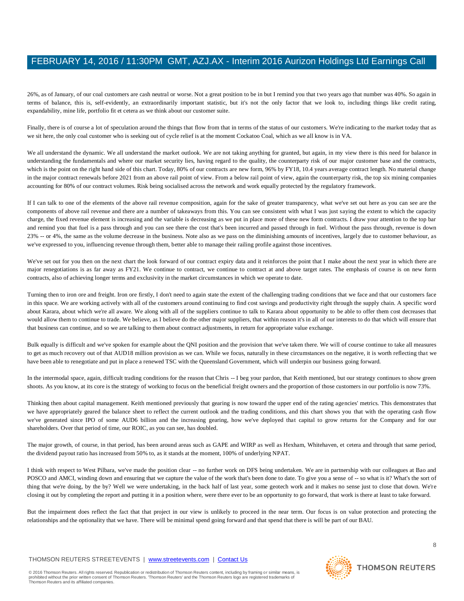26%, as of January, of our coal customers are cash neutral or worse. Not a great position to be in but I remind you that two years ago that number was 40%. So again in terms of balance, this is, self-evidently, an extraordinarily important statistic, but it's not the only factor that we look to, including things like credit rating, expandability, mine life, portfolio fit et cetera as we think about our customer suite.

Finally, there is of course a lot of speculation around the things that flow from that in terms of the status of our customers. We're indicating to the market today that as we sit here, the only coal customer who is seeking out of cycle relief is at the moment Cockatoo Coal, which as we all know is in VA.

We all understand the dynamic. We all understand the market outlook. We are not taking anything for granted, but again, in my view there is this need for balance in understanding the fundamentals and where our market security lies, having regard to the quality, the counterparty risk of our major customer base and the contracts, which is the point on the right hand side of this chart. Today, 80% of our contracts are new form, 96% by FY18, 10.4 years average contract length. No material change in the major contract renewals before 2021 from an above rail point of view. From a below rail point of view, again the counterparty risk, the top six mining companies accounting for 80% of our contract volumes. Risk being socialised across the network and work equally protected by the regulatory framework.

If I can talk to one of the elements of the above rail revenue composition, again for the sake of greater transparency, what we've set out here as you can see are the components of above rail revenue and there are a number of takeaways from this. You can see consistent with what I was just saying the extent to which the capacity charge, the fixed revenue element is increasing and the variable is decreasing as we put in place more of these new form contracts. I draw your attention to the top bar and remind you that fuel is a pass through and you can see there the cost that's been incurred and passed through in fuel. Without the pass through, revenue is down 23% -- or 4%, the same as the volume decrease in the business. Note also as we pass on the diminishing amounts of incentives, largely due to customer behaviour, as we've expressed to you, influencing revenue through them, better able to manage their railing profile against those incentives.

We've set out for you then on the next chart the look forward of our contract expiry data and it reinforces the point that I make about the next year in which there are major renegotiations is as far away as FY21. We continue to contract, we continue to contract at and above target rates. The emphasis of course is on new form contracts, also of achieving longer terms and exclusivity in the market circumstances in which we operate to date.

Turning then to iron ore and freight. Iron ore firstly, I don't need to again state the extent of the challenging trading conditions that we face and that our customers face in this space. We are working actively with all of the customers around continuing to find cost savings and productivity right through the supply chain. A specific word about Karara, about which we're all aware. We along with all of the suppliers continue to talk to Karara about opportunity to be able to offer them cost decreases that would allow them to continue to trade. We believe, as I believe do the other major suppliers, that within reason it's in all of our interests to do that which will ensure that that business can continue, and so we are talking to them about contract adjustments, in return for appropriate value exchange.

Bulk equally is difficult and we've spoken for example about the QNI position and the provision that we've taken there. We will of course continue to take all measures to get as much recovery out of that AUD18 million provision as we can. While we focus, naturally in these circumstances on the negative, it is worth reflecting that we have been able to renegotiate and put in place a renewed TSC with the Queensland Government, which will underpin our business going forward.

In the intermodal space, again, difficult trading conditions for the reason that Chris -- I beg your pardon, that Keith mentioned, but our strategy continues to show green shoots. As you know, at its core is the strategy of working to focus on the beneficial freight owners and the proportion of those customers in our portfolio is now 73%.

Thinking then about capital management. Keith mentioned previously that gearing is now toward the upper end of the rating agencies' metrics. This demonstrates that we have appropriately geared the balance sheet to reflect the current outlook and the trading conditions, and this chart shows you that with the operating cash flow we've generated since IPO of some AUD6 billion and the increasing gearing, how we've deployed that capital to grow returns for the Company and for our shareholders. Over that period of time, our ROIC, as you can see, has doubled.

The major growth, of course, in that period, has been around areas such as GAPE and WIRP as well as Hexham, Whitehaven, et cetera and through that same period, the dividend payout ratio has increased from 50% to, as it stands at the moment, 100% of underlying NPAT.

I think with respect to West Pilbara, we've made the position clear -- no further work on DFS being undertaken. We are in partnership with our colleagues at Bao and POSCO and AMCI, winding down and ensuring that we capture the value of the work that's been done to date. To give you a sense of -- so what is it? What's the sort of thing that we're doing, by the by? Well we were undertaking, in the back half of last year, some geotech work and it makes no sense just to close that down. We're closing it out by completing the report and putting it in a position where, were there ever to be an opportunity to go forward, that work is there at least to take forward.

But the impairment does reflect the fact that that project in our view is unlikely to proceed in the near term. Our focus is on value protection and protecting the relationships and the optionality that we have. There will be minimal spend going forward and that spend that there is will be part of our BAU.

#### THOMSON REUTERS STREETEVENTS | [www.streetevents.com](http://www.streetevents.com/) | [Contact Us](http://www010.streetevents.com/contact.asp)

© 2016 Thomson Reuters. All rights reserved. Republication or redistribution of Thomson Reuters content, including by framing or similar means, is<br>prohibited without the prior written consent of Thomson Reuters. 'Thomson R

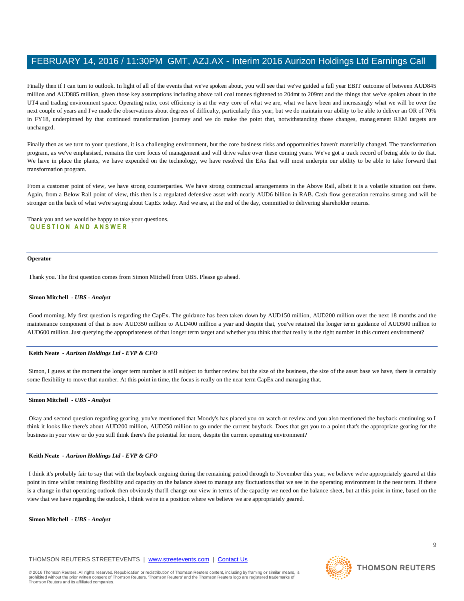Finally then if I can turn to outlook. In light of all of the events that we've spoken about, you will see that we've guided a full year EBIT outcome of between AUD845 million and AUD885 million, given those key assumptions including above rail coal tonnes tightened to 204mt to 209mt and the things that we've spoken about in the UT4 and trading environment space. Operating ratio, cost efficiency is at the very core of what we are, what we have been and increasingly what we will be over the next couple of years and I've made the observations about degrees of difficulty, particularly this year, but we do maintain our ability to be able to deliver an OR of 70% in FY18, underpinned by that continued transformation journey and we do make the point that, notwithstanding those changes, management REM targets are unchanged.

Finally then as we turn to your questions, it is a challenging environment, but the core business risks and opportunities haven't materially changed. The transformation program, as we've emphasised, remains the core focus of management and will drive value over these coming years. We've got a track record of being able to do that. We have in place the plants, we have expended on the technology, we have resolved the EAs that will most underpin our ability to be able to take forward that transformation program.

From a customer point of view, we have strong counterparties. We have strong contractual arrangements in the Above Rail, albeit it is a volatile situation out there. Again, from a Below Rail point of view, this then is a regulated defensive asset with nearly AUD6 billion in RAB. Cash flow generation remains strong and will be stronger on the back of what we're saying about CapEx today. And we are, at the end of the day, committed to delivering shareholder returns.

Thank you and we would be happy to take your questions. **Q U E S T I O N A N D A N S W E R**

#### **Operator**

Thank you. The first question comes from Simon Mitchell from UBS. Please go ahead.

#### **Simon Mitchell** *- UBS - Analyst*

Good morning. My first question is regarding the CapEx. The guidance has been taken down by AUD150 million, AUD200 million over the next 18 months and the maintenance component of that is now AUD350 million to AUD400 million a year and despite that, you've retained the longer term guidance of AUD500 million to AUD600 million. Just querying the appropriateness of that longer term target and whether you think that that really is the right number in this current environment?

#### **Keith Neate** *- Aurizon Holdings Ltd - EVP & CFO*

Simon, I guess at the moment the longer term number is still subject to further review but the size of the business, the size of the asset base we have, there is certainly some flexibility to move that number. At this point in time, the focus is really on the near term CapEx and managing that.

#### **Simon Mitchell** *- UBS - Analyst*

Okay and second question regarding gearing, you've mentioned that Moody's has placed you on watch or review and you also mentioned the buyback continuing so I think it looks like there's about AUD200 million, AUD250 million to go under the current buyback. Does that get you to a point that's the appropriate gearing for the business in your view or do you still think there's the potential for more, despite the current operating environment?

#### **Keith Neate** *- Aurizon Holdings Ltd - EVP & CFO*

I think it's probably fair to say that with the buyback ongoing during the remaining period through to November this year, we believe we're appropriately geared at this point in time whilst retaining flexibility and capacity on the balance sheet to manage any fluctuations that we see in the operating environment in the near term. If there is a change in that operating outlook then obviously that'll change our view in terms of the capacity we need on the balance sheet, but at this point in time, based on the view that we have regarding the outlook, I think we're in a position where we believe we are appropriately geared.

**Simon Mitchell** *- UBS - Analyst* 

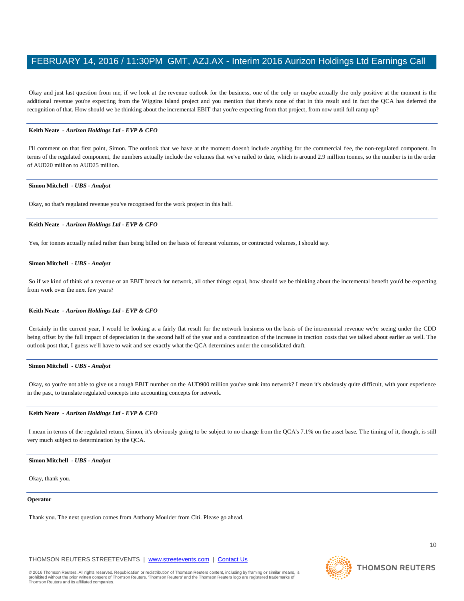Okay and just last question from me, if we look at the revenue outlook for the business, one of the only or maybe actually the only positive at the moment is the additional revenue you're expecting from the Wiggins Island project and you mention that there's none of that in this result and in fact the QCA has deferred the recognition of that. How should we be thinking about the incremental EBIT that you're expecting from that project, from now until full ramp up?

#### **Keith Neate** *- Aurizon Holdings Ltd - EVP & CFO*

I'll comment on that first point, Simon. The outlook that we have at the moment doesn't include anything for the commercial fee, the non-regulated component. In terms of the regulated component, the numbers actually include the volumes that we've railed to date, which is around 2.9 million tonnes, so the number is in the order of AUD20 million to AUD25 million.

#### **Simon Mitchell** *- UBS - Analyst*

Okay, so that's regulated revenue you've recognised for the work project in this half.

#### **Keith Neate** *- Aurizon Holdings Ltd - EVP & CFO*

Yes, for tonnes actually railed rather than being billed on the basis of forecast volumes, or contracted volumes, I should say.

#### **Simon Mitchell** *- UBS - Analyst*

So if we kind of think of a revenue or an EBIT breach for network, all other things equal, how should we be thinking about the incremental benefit you'd be expecting from work over the next few years?

#### **Keith Neate** *- Aurizon Holdings Ltd - EVP & CFO*

Certainly in the current year, I would be looking at a fairly flat result for the network business on the basis of the incremental revenue we're seeing under the CDD being offset by the full impact of depreciation in the second half of the year and a continuation of the increase in traction costs that we talked about earlier as well. The outlook post that, I guess we'll have to wait and see exactly what the QCA determines under the consolidated draft.

#### **Simon Mitchell** *- UBS - Analyst*

Okay, so you're not able to give us a rough EBIT number on the AUD900 million you've sunk into network? I mean it's obviously quite difficult, with your experience in the past, to translate regulated concepts into accounting concepts for network.

#### **Keith Neate** *- Aurizon Holdings Ltd - EVP & CFO*

I mean in terms of the regulated return, Simon, it's obviously going to be subject to no change from the QCA's 7.1% on the asset base. The timing of it, though, is still very much subject to determination by the QCA.

#### **Simon Mitchell** *- UBS - Analyst*

Okay, thank you.

#### **Operator**

Thank you. The next question comes from Anthony Moulder from Citi. Please go ahead.

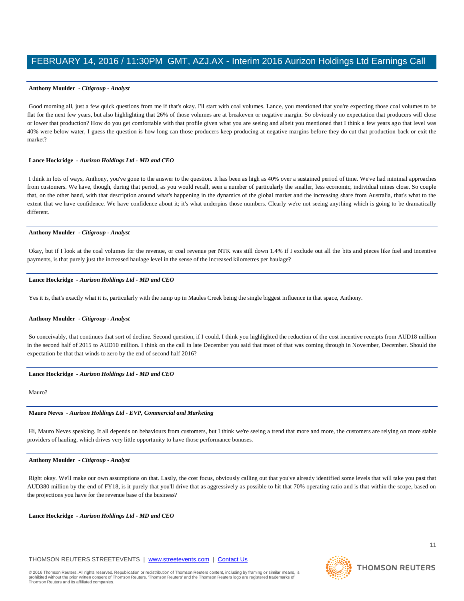#### **Anthony Moulder** *- Citigroup - Analyst*

Good morning all, just a few quick questions from me if that's okay. I'll start with coal volumes. Lance, you mentioned that you're expecting those coal volumes to be flat for the next few years, but also highlighting that 26% of those volumes are at breakeven or negative margin. So obviously no expectation that producers will close or lower that production? How do you get comfortable with that profile given what you are seeing and albeit you mentioned that I think a few years ago that level was 40% were below water, I guess the question is how long can those producers keep producing at negative margins before they do cut that production back or exit the market?

#### **Lance Hockridge** *- Aurizon Holdings Ltd - MD and CEO*

I think in lots of ways, Anthony, you've gone to the answer to the question. It has been as high as 40% over a sustained period of time. We've had minimal approaches from customers. We have, though, during that period, as you would recall, seen a number of particularly the smaller, less economic, individual mines close. So couple that, on the other hand, with that description around what's happening in the dynamics of the global market and the increasing share from Australia, that's what to the extent that we have confidence. We have confidence about it; it's what underpins those numbers. Clearly we're not seeing anything which is going to be dramatically different.

#### **Anthony Moulder** *- Citigroup - Analyst*

Okay, but if I look at the coal volumes for the revenue, or coal revenue per NTK was still down 1.4% if I exclude out all the bits and pieces like fuel and incentive payments, is that purely just the increased haulage level in the sense of the increased kilometres per haulage?

#### **Lance Hockridge** *- Aurizon Holdings Ltd - MD and CEO*

Yes it is, that's exactly what it is, particularly with the ramp up in Maules Creek being the single biggest influence in that space, Anthony.

#### **Anthony Moulder** *- Citigroup - Analyst*

So conceivably, that continues that sort of decline. Second question, if I could, I think you highlighted the reduction of the cost incentive receipts from AUD18 million in the second half of 2015 to AUD10 million. I think on the call in late December you said that most of that was coming through in November, December. Should the expectation be that that winds to zero by the end of second half 2016?

#### **Lance Hockridge** *- Aurizon Holdings Ltd - MD and CEO*

Mauro?

#### **Mauro Neves** *- Aurizon Holdings Ltd - EVP, Commercial and Marketing*

Hi, Mauro Neves speaking. It all depends on behaviours from customers, but I think we're seeing a trend that more and more, the customers are relying on more stable providers of hauling, which drives very little opportunity to have those performance bonuses.

#### **Anthony Moulder** *- Citigroup - Analyst*

Right okay. We'll make our own assumptions on that. Lastly, the cost focus, obviously calling out that you've already identified some levels that will take you past that AUD380 million by the end of FY18, is it purely that you'll drive that as aggressively as possible to hit that 70% operating ratio and is that within the scope, based on the projections you have for the revenue base of the business?

**Lance Hockridge** *- Aurizon Holdings Ltd - MD and CEO* 

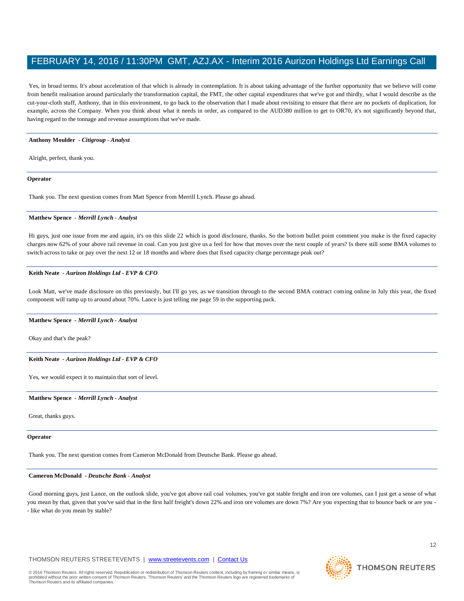Yes, in broad terms. It's about acceleration of that which is already in contemplation. It is about taking advantage of the further opportunity that we believe will come from benefit realisation around particularly the transformation capital, the FMT, the other capital expenditures that we've got and thirdly, what I would describe as the cut-your-cloth stuff, Anthony, that in this environment, to go back to the observation that I made about revisiting to ensure that there are no pockets of duplication, for example, across the Company. When you think about what it needs in order, as compared to the AUD380 million to get to OR70, it's not significantly beyond that, having regard to the tonnage and revenue assumptions that we've made.

#### **Anthony Moulder** *- Citigroup - Analyst*

Alright, perfect, thank you.

#### **Operator**

Thank you. The next question comes from Matt Spence from Merrill Lynch. Please go ahead.

#### **Matthew Spence** *- Merrill Lynch - Analyst*

Hi guys, just one issue from me and again, it's on this slide 22 which is good disclosure, thanks. So the bottom bullet point comment you make is the fixed capacity charges now 62% of your above rail revenue in coal. Can you just give us a feel for how that moves over the next couple of years? Is there still some BMA volumes to switch across to take or pay over the next 12 or 18 months and where does that fixed capacity charge percentage peak out?

#### **Keith Neate** *- Aurizon Holdings Ltd - EVP & CFO*

Look Matt, we've made disclosure on this previously, but I'll go yes, as we transition through to the second BMA contract coming online in July this year, the fixed component will ramp up to around about 70%. Lance is just telling me page 59 in the supporting pack.

#### **Matthew Spence** *- Merrill Lynch - Analyst*

Okay and that's the peak?

#### **Keith Neate** *- Aurizon Holdings Ltd - EVP & CFO*

Yes, we would expect it to maintain that sort of level.

#### **Matthew Spence** *- Merrill Lynch - Analyst*

Great, thanks guys.

#### **Operator**

Thank you. The next question comes from Cameron McDonald from Deutsche Bank. Please go ahead.

#### **Cameron McDonald** *- Deutsche Bank - Analyst*

Good morning guys, just Lance, on the outlook slide, you've got above rail coal volumes, you've got stable freight and iron ore volumes, can I just get a sense of what you mean by that, given that you've said that in the first half freight's down 22% and iron ore volumes are down 7%? Are you expecting that to bounce back or are you -- like what do you mean by stable?

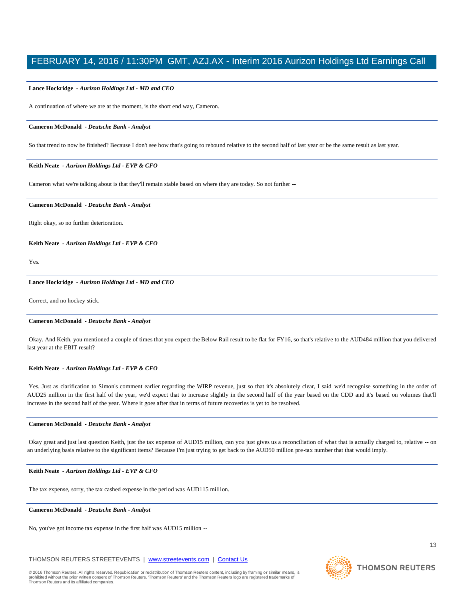#### **Lance Hockridge** *- Aurizon Holdings Ltd - MD and CEO*

A continuation of where we are at the moment, is the short end way, Cameron.

#### **Cameron McDonald** *- Deutsche Bank - Analyst*

So that trend to now be finished? Because I don't see how that's going to rebound relative to the second half of last year or be the same result as last year.

#### **Keith Neate** *- Aurizon Holdings Ltd - EVP & CFO*

Cameron what we're talking about is that they'll remain stable based on where they are today. So not further --

#### **Cameron McDonald** *- Deutsche Bank - Analyst*

Right okay, so no further deterioration.

**Keith Neate** *- Aurizon Holdings Ltd - EVP & CFO* 

Yes.

#### **Lance Hockridge** *- Aurizon Holdings Ltd - MD and CEO*

Correct, and no hockey stick.

#### **Cameron McDonald** *- Deutsche Bank - Analyst*

Okay. And Keith, you mentioned a couple of times that you expect the Below Rail result to be flat for FY16, so that's relative to the AUD484 million that you delivered last year at the EBIT result?

#### **Keith Neate** *- Aurizon Holdings Ltd - EVP & CFO*

Yes. Just as clarification to Simon's comment earlier regarding the WIRP revenue, just so that it's absolutely clear, I said we'd recognise something in the order of AUD25 million in the first half of the year, we'd expect that to increase slightly in the second half of the year based on the CDD and it's based on volumes that'll increase in the second half of the year. Where it goes after that in terms of future recoveries is yet to be resolved.

#### **Cameron McDonald** *- Deutsche Bank - Analyst*

Okay great and just last question Keith, just the tax expense of AUD15 million, can you just gives us a reconciliation of what that is actually charged to, relative -- on an underlying basis relative to the significant items? Because I'm just trying to get back to the AUD50 million pre-tax number that that would imply.

#### **Keith Neate** *- Aurizon Holdings Ltd - EVP & CFO*

The tax expense, sorry, the tax cashed expense in the period was AUD115 million.

#### **Cameron McDonald** *- Deutsche Bank - Analyst*

No, you've got income tax expense in the first half was AUD15 million --

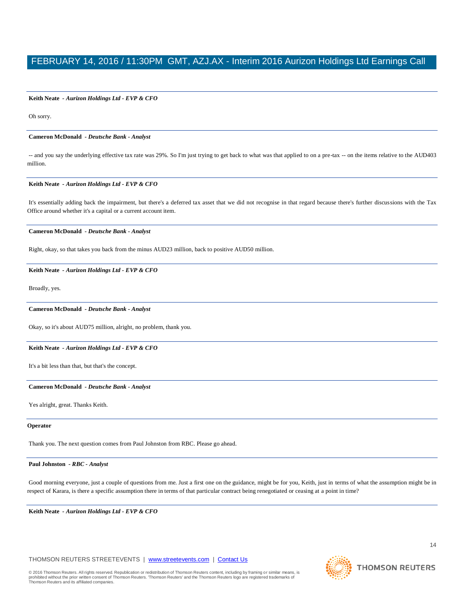#### **Keith Neate** *- Aurizon Holdings Ltd - EVP & CFO*

Oh sorry.

#### **Cameron McDonald** *- Deutsche Bank - Analyst*

-- and you say the underlying effective tax rate was 29%. So I'm just trying to get back to what was that applied to on a pre-tax -- on the items relative to the AUD403 million.

#### **Keith Neate** *- Aurizon Holdings Ltd - EVP & CFO*

It's essentially adding back the impairment, but there's a deferred tax asset that we did not recognise in that regard because there's further discussions with the Tax Office around whether it's a capital or a current account item.

#### **Cameron McDonald** *- Deutsche Bank - Analyst*

Right, okay, so that takes you back from the minus AUD23 million, back to positive AUD50 million.

#### **Keith Neate** *- Aurizon Holdings Ltd - EVP & CFO*

Broadly, yes.

#### **Cameron McDonald** *- Deutsche Bank - Analyst*

Okay, so it's about AUD75 million, alright, no problem, thank you.

#### **Keith Neate** *- Aurizon Holdings Ltd - EVP & CFO*

It's a bit less than that, but that's the concept.

#### **Cameron McDonald** *- Deutsche Bank - Analyst*

Yes alright, great. Thanks Keith.

#### **Operator**

Thank you. The next question comes from Paul Johnston from RBC. Please go ahead.

#### **Paul Johnston** *- RBC - Analyst*

Good morning everyone, just a couple of questions from me. Just a first one on the guidance, might be for you, Keith, just in terms of what the assumption might be in respect of Karara, is there a specific assumption there in terms of that particular contract being renegotiated or ceasing at a point in time?

**Keith Neate** *- Aurizon Holdings Ltd - EVP & CFO* 

#### THOMSON REUTERS STREETEVENTS | [www.streetevents.com](http://www.streetevents.com/) | [Contact Us](http://www010.streetevents.com/contact.asp)

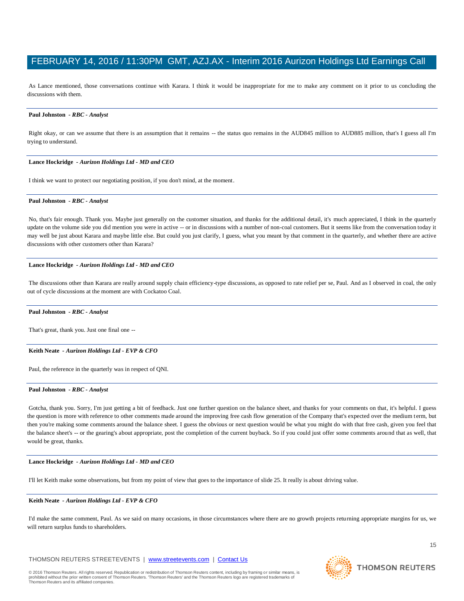As Lance mentioned, those conversations continue with Karara. I think it would be inappropriate for me to make any comment on it prior to us concluding the discussions with them.

#### **Paul Johnston** *- RBC - Analyst*

Right okay, or can we assume that there is an assumption that it remains -- the status quo remains in the AUD845 million to AUD885 million, that's I guess all I'm trying to understand.

#### **Lance Hockridge** *- Aurizon Holdings Ltd - MD and CEO*

I think we want to protect our negotiating position, if you don't mind, at the moment.

#### **Paul Johnston** *- RBC - Analyst*

No, that's fair enough. Thank you. Maybe just generally on the customer situation, and thanks for the additional detail, it's much appreciated, I think in the quarterly update on the volume side you did mention you were in active -- or in discussions with a number of non-coal customers. But it seems like from the conversation today it may well be just about Karara and maybe little else. But could you just clarify, I guess, what you meant by that comment in the quarterly, and whether there are active discussions with other customers other than Karara?

#### **Lance Hockridge** *- Aurizon Holdings Ltd - MD and CEO*

The discussions other than Karara are really around supply chain efficiency-type discussions, as opposed to rate relief per se, Paul. And as I observed in coal, the only out of cycle discussions at the moment are with Cockatoo Coal.

#### **Paul Johnston** *- RBC - Analyst*

That's great, thank you. Just one final one --

#### **Keith Neate** *- Aurizon Holdings Ltd - EVP & CFO*

Paul, the reference in the quarterly was in respect of QNI.

#### **Paul Johnston** *- RBC - Analyst*

Gotcha, thank you. Sorry, I'm just getting a bit of feedback. Just one further question on the balance sheet, and thanks for your comments on that, it's helpful. I guess the question is more with reference to other comments made around the improving free cash flow generation of the Company that's expected over the medium term, but then you're making some comments around the balance sheet. I guess the obvious or next question would be what you might do with that free cash, given you feel that the balance sheet's -- or the gearing's about appropriate, post the completion of the current buyback. So if you could just offer some comments around that as well, that would be great, thanks.

#### **Lance Hockridge** *- Aurizon Holdings Ltd - MD and CEO*

I'll let Keith make some observations, but from my point of view that goes to the importance of slide 25. It really is about driving value.

#### **Keith Neate** *- Aurizon Holdings Ltd - EVP & CFO*

I'd make the same comment, Paul. As we said on many occasions, in those circumstances where there are no growth projects returning appropriate margins for us, we will return surplus funds to shareholders.

#### THOMSON REUTERS STREETEVENTS | [www.streetevents.com](http://www.streetevents.com/) | [Contact Us](http://www010.streetevents.com/contact.asp)



**THOMSON REUTERS**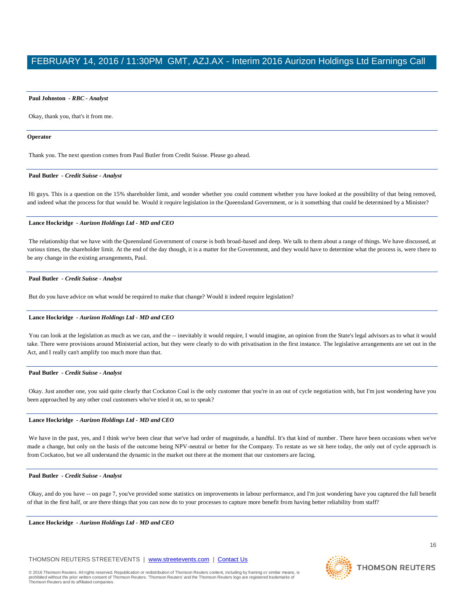#### **Paul Johnston** *- RBC - Analyst*

Okay, thank you, that's it from me.

#### **Operator**

Thank you. The next question comes from Paul Butler from Credit Suisse. Please go ahead.

#### **Paul Butler** *- Credit Suisse - Analyst*

Hi guys. This is a question on the 15% shareholder limit, and wonder whether you could comment whether you have looked at the possibility of that being removed, and indeed what the process for that would be. Would it require legislation in the Queensland Government, or is it something that could be determined by a Minister?

#### **Lance Hockridge** *- Aurizon Holdings Ltd - MD and CEO*

The relationship that we have with the Queensland Government of course is both broad-based and deep. We talk to them about a range of things. We have discussed, at various times, the shareholder limit. At the end of the day though, it is a matter for the Government, and they would have to determine what the process is, were there to be any change in the existing arrangements, Paul.

#### **Paul Butler** *- Credit Suisse - Analyst*

But do you have advice on what would be required to make that change? Would it indeed require legislation?

#### **Lance Hockridge** *- Aurizon Holdings Ltd - MD and CEO*

You can look at the legislation as much as we can, and the -- inevitably it would require, I would imagine, an opinion from the State's legal advisors as to what it would take. There were provisions around Ministerial action, but they were clearly to do with privatisation in the first instance. The legislative arrangements are set out in the Act, and I really can't amplify too much more than that.

#### **Paul Butler** *- Credit Suisse - Analyst*

Okay. Just another one, you said quite clearly that Cockatoo Coal is the only customer that you're in an out of cycle negotiation with, but I'm just wondering have you been approached by any other coal customers who've tried it on, so to speak?

#### **Lance Hockridge** *- Aurizon Holdings Ltd - MD and CEO*

We have in the past, yes, and I think we've been clear that we've had order of magnitude, a handful. It's that kind of number. There have been occasions when we've made a change, but only on the basis of the outcome being NPV-neutral or better for the Company. To restate as we sit here today, the only out of cycle approach is from Cockatoo, but we all understand the dynamic in the market out there at the moment that our customers are facing.

#### **Paul Butler** *- Credit Suisse - Analyst*

Okay, and do you have -- on page 7, you've provided some statistics on improvements in labour performance, and I'm just wondering have you captured the full benefit of that in the first half, or are there things that you can now do to your processes to capture more benefit from having better reliability from staff?

**Lance Hockridge** *- Aurizon Holdings Ltd - MD and CEO* 

#### THOMSON REUTERS STREETEVENTS | [www.streetevents.com](http://www.streetevents.com/) | [Contact Us](http://www010.streetevents.com/contact.asp)



**THOMSON REUTERS**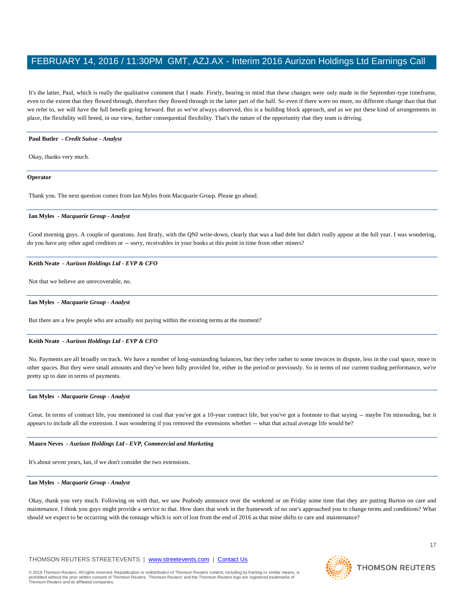It's the latter, Paul, which is really the qualitative comment that I made. Firstly, bearing in mind that these changes were only made in the September-type timeframe, even to the extent that they flowed through, therefore they flowed through in the latter part of the half. So even if there were no more, no different change than that that we refer to, we will have the full benefit going forward. But as we've always observed, this is a building block approach, and as we put these kind of arrangements in place, the flexibility will breed, in our view, further consequential flexibility. That's the nature of the opportunity that they team is driving.

#### **Paul Butler** *- Credit Suisse - Analyst*

Okay, thanks very much.

#### **Operator**

Thank you. The next question comes from Ian Myles from Macquarie Group. Please go ahead.

#### **Ian Myles** *- Macquarie Group - Analyst*

Good morning guys. A couple of questions. Just firstly, with the QNI write-down, clearly that was a bad debt but didn't really appear at the full year. I was wondering, do you have any other aged creditors or -- sorry, receivables in your books at this point in time from other miners?

#### **Keith Neate** *- Aurizon Holdings Ltd - EVP & CFO*

Not that we believe are unrecoverable, no.

#### **Ian Myles** *- Macquarie Group - Analyst*

But there are a few people who are actually not paying within the existing terms at the moment?

#### **Keith Neate** *- Aurizon Holdings Ltd - EVP & CFO*

No. Payments are all broadly on track. We have a number of long-outstanding balances, but they refer rather to some invoices in dispute, less in the coal space, more in other spaces. But they were small amounts and they've been fully provided for, either in the period or previously. So in terms of our current trading performance, we're pretty up to date in terms of payments.

#### **Ian Myles** *- Macquarie Group - Analyst*

Great. In terms of contract life, you mentioned in coal that you've got a 10-year contract life, but you've got a footnote to that saying -- maybe I'm misreading, but it appears to include all the extension. I was wondering if you removed the extensions whether -- what that actual average life would be?

#### **Mauro Neves** *- Aurizon Holdings Ltd - EVP, Commercial and Marketing*

It's about seven years, Ian, if we don't consider the two extensions.

#### **Ian Myles** *- Macquarie Group - Analyst*

Okay, thank you very much. Following on with that, we saw Peabody announce over the weekend or on Friday some time that they are putting Burton on care and maintenance. I think you guys might provide a service to that. How does that work in the framework of no one's approached you to change terms and conditions? What should we expect to be occurring with the tonnage which is sort of lost from the end of 2016 as that mine shifts to care and maintenance?

#### THOMSON REUTERS STREETEVENTS | [www.streetevents.com](http://www.streetevents.com/) | [Contact Us](http://www010.streetevents.com/contact.asp)



17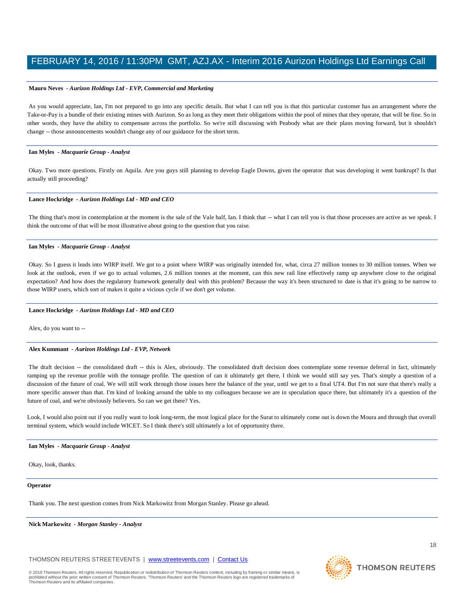#### **Mauro Neves** *- Aurizon Holdings Ltd - EVP, Commercial and Marketing*

As you would appreciate, Ian, I'm not prepared to go into any specific details. But what I can tell you is that this particular customer has an arrangement where the Take-or-Pay is a bundle of their existing mines with Aurizon. So as long as they meet their obligations within the pool of mines that they operate, that will be fine. So in other words, they have the ability to compensate across the portfolio. So we're still discussing with Peabody what are their plans moving forward, but it shouldn't change -- those announcements wouldn't change any of our guidance for the short term.

#### **Ian Myles** *- Macquarie Group - Analyst*

Okay. Two more questions. Firstly on Aquila. Are you guys still planning to develop Eagle Downs, given the operator that was developing it went bankrupt? Is that actually still proceeding?

#### **Lance Hockridge** *- Aurizon Holdings Ltd - MD and CEO*

The thing that's most in contemplation at the moment is the sale of the Vale half, Ian. I think that -- what I can tell you is that those processes are active as we speak. I think the outcome of that will be most illustrative about going to the question that you raise.

#### **Ian Myles** *- Macquarie Group - Analyst*

Okay. So I guess it leads into WIRP itself. We got to a point where WIRP was originally intended for, what, circa 27 million tonnes to 30 million tonnes. When we look at the outlook, even if we go to actual volumes, 2.6 million tonnes at the moment, can this new rail line effectively ramp up anywhere close to the original expectation? And how does the regulatory framework generally deal with this problem? Because the way it's been structured to date is that it's going to be narrow to those WIRP users, which sort of makes it quite a vicious cycle if we don't get volume.

#### **Lance Hockridge** *- Aurizon Holdings Ltd - MD and CEO*

Alex, do you want to --

#### **Alex Kummant** *- Aurizon Holdings Ltd - EVP, Network*

The draft decision -- the consolidated draft -- this is Alex, obviously. The consolidated draft decision does contemplate some revenue deferral in fact, ultimately ramping up the revenue profile with the tonnage profile. The question of can it ultimately get there, I think we would still say yes. That's simply a question of a discussion of the future of coal. We will still work through those issues here the balance of the year, until we get to a final UT4. But I'm not sure that there's really a more specific answer than that. I'm kind of looking around the table to my colleagues because we are in speculation space there, but ultimately it's a question of the future of coal, and we're obviously believers. So can we get there? Yes.

Look, I would also point out if you really want to look long-term, the most logical place for the Surat to ultimately come out is down the Moura and through that overall terminal system, which would include WICET. So I think there's still ultimately a lot of opportunity there.

#### **Ian Myles** *- Macquarie Group - Analyst*

Okay, look, thanks.

#### **Operator**

Thank you. The next question comes from Nick Markowitz from Morgan Stanley. Please go ahead.

**Nick Markowitz** *- Morgan Stanley - Analyst* 

THOMSON REUTERS STREETEVENTS | [www.streetevents.com](http://www.streetevents.com/) | [Contact Us](http://www010.streetevents.com/contact.asp)



**THOMSON REUTERS**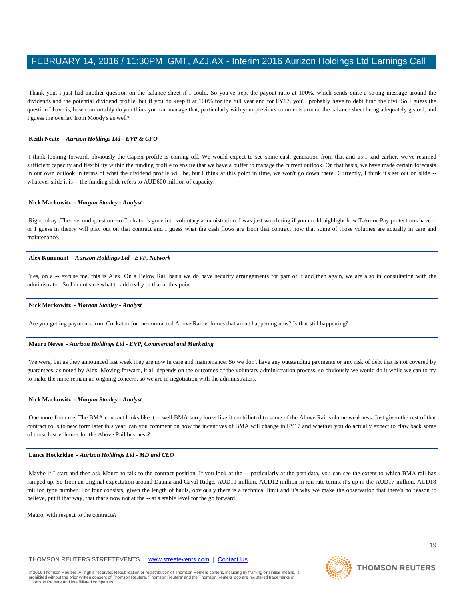Thank you. I just had another question on the balance sheet if I could. So you've kept the payout ratio at 100%, which sends quite a strong message around the dividends and the potential dividend profile, but if you do keep it at 100% for the full year and for FY17, you'll probably have to debt fund the divi. So I guess the question I have is, how comfortably do you think you can manage that, particularly with your previous comments around the balance sheet being adequately geared, and I guess the overlay from Moody's as well?

#### **Keith Neate** *- Aurizon Holdings Ltd - EVP & CFO*

I think looking forward, obviously the CapEx profile is coming off. We would expect to see some cash generation from that and as I said earlier, we've retained sufficient capacity and flexibility within the funding profile to ensure that we have a buffer to manage the current outlook. On that basis, we have made certain forecasts in our own outlook in terms of what the dividend profile will be, but I think at this point in time, we won't go down there. Currently, I think it's set out on slide -whatever slide it is -- the funding slide refers to AUD600 million of capacity.

#### **Nick Markowitz** *- Morgan Stanley - Analyst*

Right, okay .Then second question, so Cockatoo's gone into voluntary administration. I was just wondering if you could highlight how Take-or-Pay protections have - or I guess in theory will play out on that contract and I guess what the cash flows are from that contract now that some of those volumes are actually in care and maintenance.

#### **Alex Kummant** *- Aurizon Holdings Ltd - EVP, Network*

Yes, on a -- excuse me, this is Alex. On a Below Rail basis we do have security arrangements for part of it and then again, we are also in consultation with the administrator. So I'm not sure what to add really to that at this point.

#### **Nick Markowitz** *- Morgan Stanley - Analyst*

Are you getting payments from Cockatoo for the contracted Above Rail volumes that aren't happening now? Is that still happening?

#### **Mauro Neves** *- Aurizon Holdings Ltd - EVP, Commercial and Marketing*

We were, but as they announced last week they are now in care and maintenance. So we don't have any outstanding payments or any risk of debt that is not covered by guarantees, as noted by Alex. Moving forward, it all depends on the outcomes of the voluntary administration process, so obviously we would do it while we can to try to make the mine remain an ongoing concern, so we are in negotiation with the administrators.

#### **Nick Markowitz** *- Morgan Stanley - Analyst*

One more from me. The BMA contract looks like it -- well BMA sorry looks like it contributed to some of the Above Rail volume weakness. Just given the rest of that contract rolls to new form later this year, can you comment on how the incentives of BMA will change in FY17 and whether you do actually expect to claw back some of those lost volumes for the Above Rail business?

#### **Lance Hockridge** *- Aurizon Holdings Ltd - MD and CEO*

Maybe if I start and then ask Mauro to talk to the contract position. If you look at the -- particularly at the port data, you can see the extent to which BMA rail has ramped up. So from an original expectation around Daunia and Caval Ridge, AUD11 million, AUD12 million in run rate terms, it's up in the AUD17 million, AUD18 million type number. For four consists, given the length of hauls, obviously there is a technical limit and it's why we make the observation that there's no reason to believe, put it that way, that that's now not at the -- at a stable level for the go forward.

Mauro, with respect to the contracts?

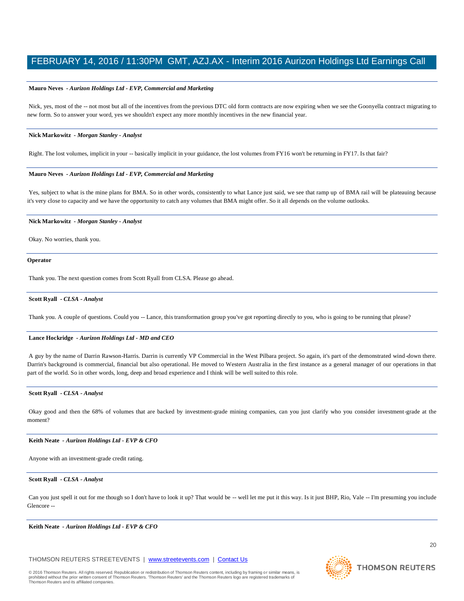#### **Mauro Neves** *- Aurizon Holdings Ltd - EVP, Commercial and Marketing*

Nick, yes, most of the -- not most but all of the incentives from the previous DTC old form contracts are now expiring when we see the Goonyella contract migrating to new form. So to answer your word, yes we shouldn't expect any more monthly incentives in the new financial year.

#### **Nick Markowitz** *- Morgan Stanley - Analyst*

Right. The lost volumes, implicit in your -- basically implicit in your guidance, the lost volumes from FY16 won't be returning in FY17. Is that fair?

#### **Mauro Neves** *- Aurizon Holdings Ltd - EVP, Commercial and Marketing*

Yes, subject to what is the mine plans for BMA. So in other words, consistently to what Lance just said, we see that ramp up of BMA rail will be plateauing because it's very close to capacity and we have the opportunity to catch any volumes that BMA might offer. So it all depends on the volume outlooks.

#### **Nick Markowitz** *- Morgan Stanley - Analyst*

Okay. No worries, thank you.

#### **Operator**

Thank you. The next question comes from Scott Ryall from CLSA. Please go ahead.

#### **Scott Ryall** *- CLSA - Analyst*

Thank you. A couple of questions. Could you -- Lance, this transformation group you've got reporting directly to you, who is going to be running that please?

#### **Lance Hockridge** *- Aurizon Holdings Ltd - MD and CEO*

A guy by the name of Darrin Rawson-Harris. Darrin is currently VP Commercial in the West Pilbara project. So again, it's part of the demonstrated wind-down there. Darrin's background is commercial, financial but also operational. He moved to Western Australia in the first instance as a general manager of our operations in that part of the world. So in other words, long, deep and broad experience and I think will be well suited to this role.

#### **Scott Ryall** *- CLSA - Analyst*

Okay good and then the 68% of volumes that are backed by investment-grade mining companies, can you just clarify who you consider investment-grade at the moment?

#### **Keith Neate** *- Aurizon Holdings Ltd - EVP & CFO*

Anyone with an investment-grade credit rating.

#### **Scott Ryall** *- CLSA - Analyst*

Can you just spell it out for me though so I don't have to look it up? That would be -- well let me put it this way. Is it just BHP, Rio, Vale -- I'm presuming you include Glencore --

**Keith Neate** *- Aurizon Holdings Ltd - EVP & CFO* 

#### THOMSON REUTERS STREETEVENTS | [www.streetevents.com](http://www.streetevents.com/) | [Contact Us](http://www010.streetevents.com/contact.asp)



**THOMSON REUTERS**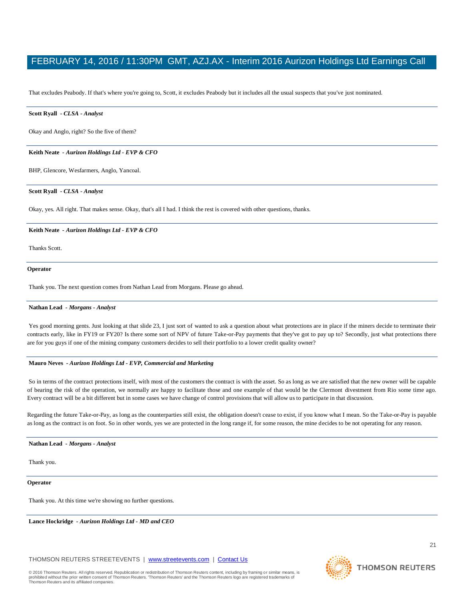That excludes Peabody. If that's where you're going to, Scott, it excludes Peabody but it includes all the usual suspects that you've just nominated.

#### **Scott Ryall** *- CLSA - Analyst*

Okay and Anglo, right? So the five of them?

#### **Keith Neate** *- Aurizon Holdings Ltd - EVP & CFO*

BHP, Glencore, Wesfarmers, Anglo, Yancoal.

#### **Scott Ryall** *- CLSA - Analyst*

Okay, yes. All right. That makes sense. Okay, that's all I had. I think the rest is covered with other questions, thanks.

#### **Keith Neate** *- Aurizon Holdings Ltd - EVP & CFO*

Thanks Scott.

#### **Operator**

Thank you. The next question comes from Nathan Lead from Morgans. Please go ahead.

#### **Nathan Lead** *- Morgans - Analyst*

Yes good morning gents. Just looking at that slide 23, I just sort of wanted to ask a question about what protections are in place if the miners decide to terminate their contracts early, like in FY19 or FY20? Is there some sort of NPV of future Take-or-Pay payments that they've got to pay up to? Secondly, just what protections there are for you guys if one of the mining company customers decides to sell their portfolio to a lower credit quality owner?

#### **Mauro Neves** *- Aurizon Holdings Ltd - EVP, Commercial and Marketing*

So in terms of the contract protections itself, with most of the customers the contract is with the asset. So as long as we are satisfied that the new owner will be capable of bearing the risk of the operation, we normally are happy to facilitate those and one example of that would be the Clermont divestment from Rio some time ago. Every contract will be a bit different but in some cases we have change of control provisions that will allow us to participate in that discussion.

Regarding the future Take-or-Pay, as long as the counterparties still exist, the obligation doesn't cease to exist, if you know what I mean. So the Take-or-Pay is payable as long as the contract is on foot. So in other words, yes we are protected in the long range if, for some reason, the mine decides to be not operating for any reason.

#### **Nathan Lead** *- Morgans - Analyst*

Thank you.

**Operator**

Thank you. At this time we're showing no further questions.

**Lance Hockridge** *- Aurizon Holdings Ltd - MD and CEO* 

#### THOMSON REUTERS STREETEVENTS | [www.streetevents.com](http://www.streetevents.com/) | [Contact Us](http://www010.streetevents.com/contact.asp)

© 2016 Thomson Reuters. All rights reserved. Republication or redistribution of Thomson Reuters content, including by framing or similar means, is prohibited without the prior written consent of Thomson Reuters. 'Thomson Reuters' and the Thomson Reuters logo are registered trademarks o Thomson Reuters and its affiliated companies.